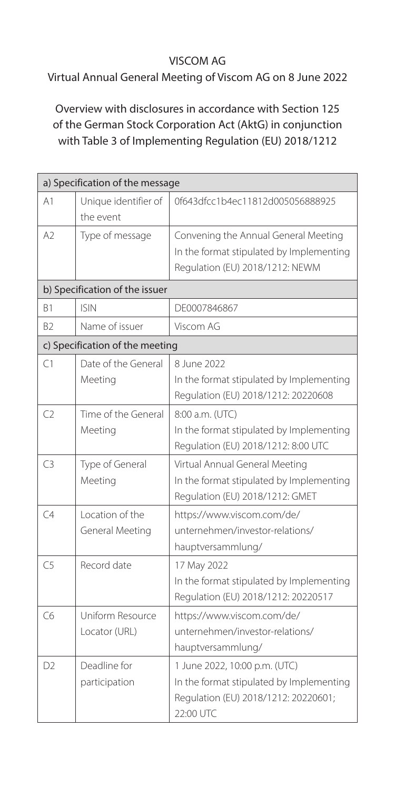## VISCOM AG

Virtual Annual General Meeting of Viscom AG on 8 June 2022

## Overview with disclosures in accordance with Section 125 of the German Stock Corporation Act (AktG) in conjunction with Table 3 of Implementing Regulation (EU) 2018/1212

| a) Specification of the message |                                    |                                                                                                                                |  |  |
|---------------------------------|------------------------------------|--------------------------------------------------------------------------------------------------------------------------------|--|--|
| A1                              | Unique identifier of<br>the event  | 0f643dfcc1b4ec11812d005056888925                                                                                               |  |  |
| A <sub>2</sub>                  | Type of message                    | Convening the Annual General Meeting<br>In the format stipulated by Implementing<br>Regulation (EU) 2018/1212: NEWM            |  |  |
| b) Specification of the issuer  |                                    |                                                                                                                                |  |  |
| B1                              | <b>ISIN</b>                        | DE0007846867                                                                                                                   |  |  |
| B <sub>2</sub>                  | Name of issuer                     | Viscom AG                                                                                                                      |  |  |
|                                 | c) Specification of the meeting    |                                                                                                                                |  |  |
| C1                              | Date of the General<br>Meeting     | 8 June 2022<br>In the format stipulated by Implementing<br>Regulation (EU) 2018/1212: 20220608                                 |  |  |
| C <sub>2</sub>                  | Time of the General<br>Meeting     | 8:00 a.m. (UTC)<br>In the format stipulated by Implementing<br>Regulation (EU) 2018/1212: 8:00 UTC                             |  |  |
| C <sub>3</sub>                  | Type of General<br>Meeting         | Virtual Annual General Meeting<br>In the format stipulated by Implementing<br>Regulation (EU) 2018/1212: GMET                  |  |  |
| C <sub>4</sub>                  | Location of the<br>General Meeting | https://www.viscom.com/de/<br>unternehmen/investor-relations/<br>hauptversammlung/                                             |  |  |
| C5                              | Record date                        | 17 May 2022<br>In the format stipulated by Implementing<br>Regulation (EU) 2018/1212: 20220517                                 |  |  |
| C <sub>6</sub>                  | Uniform Resource<br>Locator (URL)  | https://www.viscom.com/de/<br>unternehmen/investor-relations/<br>hauptversammlung/                                             |  |  |
| D2                              | Deadline for<br>participation      | 1 June 2022, 10:00 p.m. (UTC)<br>In the format stipulated by Implementing<br>Regulation (EU) 2018/1212: 20220601;<br>22:00 UTC |  |  |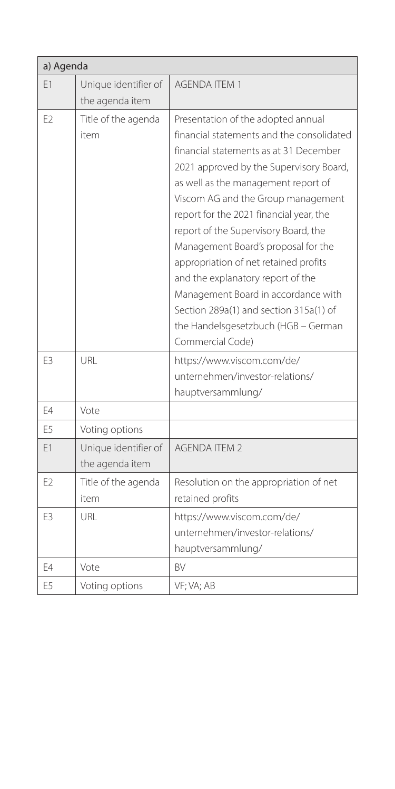| a) Agenda      |                      |                                           |  |  |
|----------------|----------------------|-------------------------------------------|--|--|
| F1             | Unique identifier of | <b>AGENDA ITEM 1</b>                      |  |  |
|                | the agenda item      |                                           |  |  |
| E <sub>2</sub> | Title of the agenda  | Presentation of the adopted annual        |  |  |
|                | item                 | financial statements and the consolidated |  |  |
|                |                      | financial statements as at 31 December    |  |  |
|                |                      | 2021 approved by the Supervisory Board,   |  |  |
|                |                      | as well as the management report of       |  |  |
|                |                      | Viscom AG and the Group management        |  |  |
|                |                      | report for the 2021 financial year, the   |  |  |
|                |                      | report of the Supervisory Board, the      |  |  |
|                |                      | Management Board's proposal for the       |  |  |
|                |                      | appropriation of net retained profits     |  |  |
|                |                      | and the explanatory report of the         |  |  |
|                |                      | Management Board in accordance with       |  |  |
|                |                      | Section 289a(1) and section 315a(1) of    |  |  |
|                |                      | the Handelsgesetzbuch (HGB - German       |  |  |
|                |                      | Commercial Code)                          |  |  |
| E3             | URL                  | https://www.viscom.com/de/                |  |  |
|                |                      | unternehmen/investor-relations/           |  |  |
|                |                      | hauptversammlung/                         |  |  |
| E4             | Vote                 |                                           |  |  |
| E <sub>5</sub> | Voting options       |                                           |  |  |
| E1             | Unique identifier of | <b>AGENDA ITEM 2</b>                      |  |  |
|                | the agenda item      |                                           |  |  |
| E <sub>2</sub> | Title of the agenda  | Resolution on the appropriation of net    |  |  |
|                | item                 | retained profits                          |  |  |
| E3             | URL                  | https://www.viscom.com/de/                |  |  |
|                |                      | unternehmen/investor-relations/           |  |  |
|                |                      | hauptversammlung/                         |  |  |
| F4             | Vote                 | <b>BV</b>                                 |  |  |
| F <sub>5</sub> | Voting options       | VF; VA; AB                                |  |  |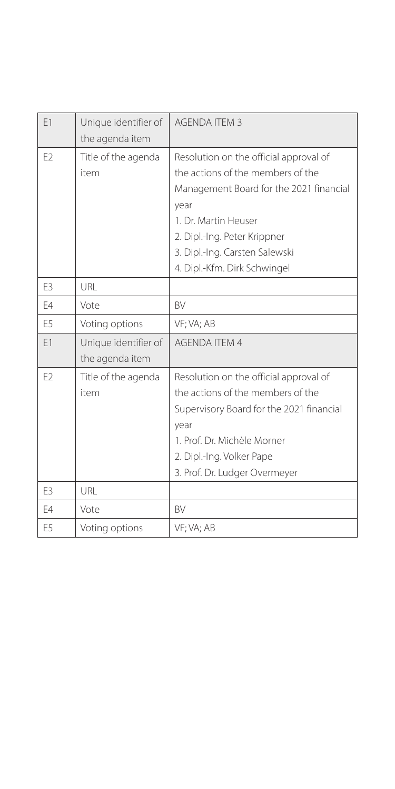| F1             | Unique identifier of | <b>AGENDA ITEM 3</b>                     |
|----------------|----------------------|------------------------------------------|
|                | the agenda item      |                                          |
| F <sub>2</sub> | Title of the agenda  | Resolution on the official approval of   |
|                | item                 | the actions of the members of the        |
|                |                      | Management Board for the 2021 financial  |
|                |                      | year                                     |
|                |                      | 1. Dr. Martin Heuser                     |
|                |                      | 2. Dipl.-Ing. Peter Krippner             |
|                |                      | 3. Dipl.-Ing. Carsten Salewski           |
|                |                      | 4. Dipl.-Kfm. Dirk Schwingel             |
| F <sub>3</sub> | URL                  |                                          |
| F4             | Vote                 | <b>BV</b>                                |
| E <sub>5</sub> | Voting options       | VF; VA; AB                               |
| F1             | Unique identifier of | <b>AGFNDA ITFM 4</b>                     |
|                | the agenda item      |                                          |
| F <sub>2</sub> | Title of the agenda  | Resolution on the official approval of   |
|                | item                 | the actions of the members of the        |
|                |                      | Supervisory Board for the 2021 financial |
|                |                      | year                                     |
|                |                      | 1. Prof. Dr. Michèle Morner              |
|                |                      | 2. Dipl.-Ing. Volker Pape                |
|                |                      | 3. Prof. Dr. Ludger Overmeyer            |
| F <sub>3</sub> | URL                  |                                          |
| F4             | Vote                 | <b>BV</b>                                |
| F <sub>5</sub> | Voting options       | VF; VA; AB                               |